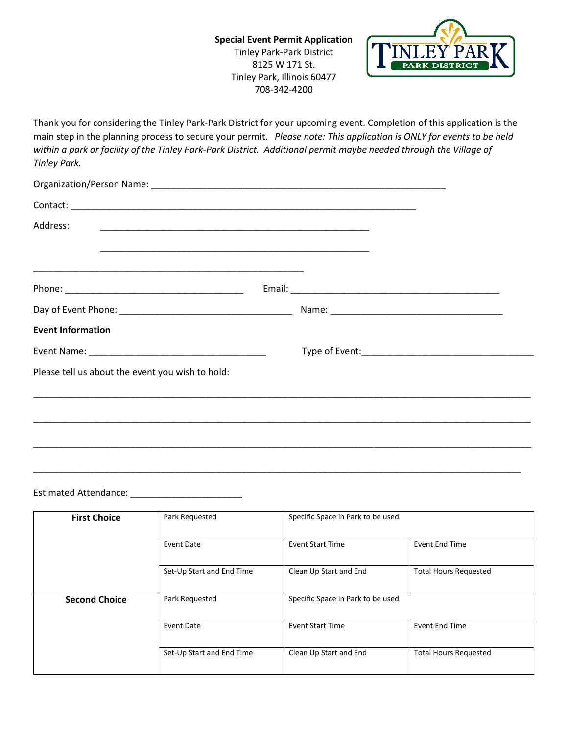

Thank you for considering the Tinley Park-Park District for your upcoming event. Completion of this application is the main step in the planning process to secure your permit. *Please note: This application is ONLY for events to be held*  within a park or facility of the Tinley Park-Park District. Additional permit maybe needed through the Village of *Tinley Park.* 

| Address:                                                                                                              |  |  |
|-----------------------------------------------------------------------------------------------------------------------|--|--|
| <u> 1989 - Johann Stoff, deutscher Stoff, der Stoff, der Stoff, der Stoff, der Stoff, der Stoff, der Stoff, der S</u> |  |  |
|                                                                                                                       |  |  |
|                                                                                                                       |  |  |
| <b>Event Information</b>                                                                                              |  |  |
|                                                                                                                       |  |  |
| Please tell us about the event you wish to hold:                                                                      |  |  |
|                                                                                                                       |  |  |
|                                                                                                                       |  |  |
|                                                                                                                       |  |  |

Estimated Attendance: \_\_\_\_\_\_\_\_\_\_\_\_\_\_\_\_\_\_\_\_\_\_

 $\overline{\phantom{a}}$ 

| <b>First Choice</b>  | Park Requested            | Specific Space in Park to be used |                              |
|----------------------|---------------------------|-----------------------------------|------------------------------|
|                      | Event Date                | <b>Event Start Time</b>           | <b>Event End Time</b>        |
|                      | Set-Up Start and End Time | Clean Up Start and End            | <b>Total Hours Requested</b> |
| <b>Second Choice</b> | Park Requested            | Specific Space in Park to be used |                              |
|                      | Event Date                | <b>Event Start Time</b>           | <b>Event End Time</b>        |
|                      | Set-Up Start and End Time | Clean Up Start and End            | <b>Total Hours Requested</b> |

\_\_\_\_\_\_\_\_\_\_\_\_\_\_\_\_\_\_\_\_\_\_\_\_\_\_\_\_\_\_\_\_\_\_\_\_\_\_\_\_\_\_\_\_\_\_\_\_\_\_\_\_\_\_\_\_\_\_\_\_\_\_\_\_\_\_\_\_\_\_\_\_\_\_\_\_\_\_\_\_\_\_\_\_\_\_\_\_\_\_\_\_\_\_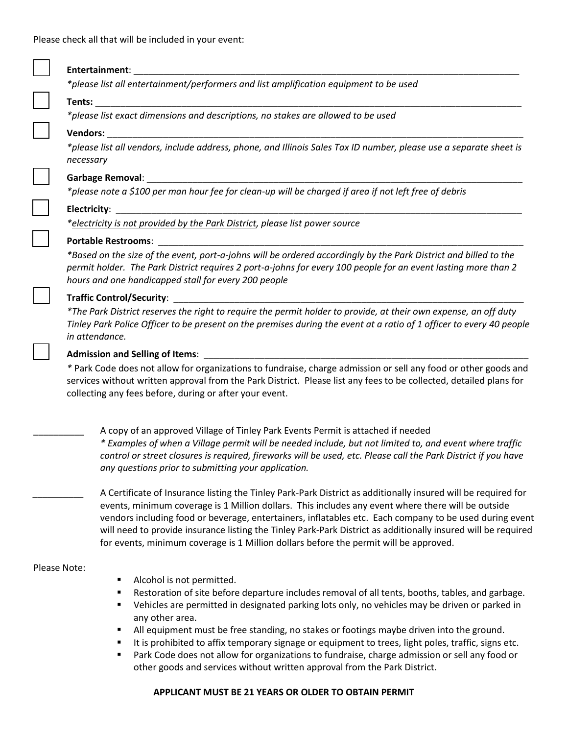

## **APPLICANT MUST BE 21 YEARS OR OLDER TO OBTAIN PERMIT**